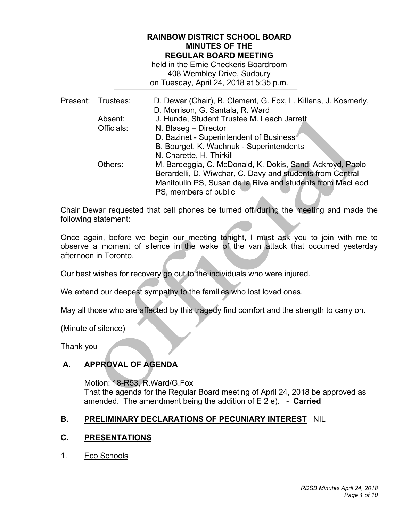## **RAINBOW DISTRICT SCHOOL BOARD MINUTES OF THE REGULAR BOARD MEETING**

 408 Wembley Drive, Sudbury on Tuesday, April 24, 2018 at 5:35 p.m. held in the Ernie Checkeris Boardroom

|  | Present: Trustees: | D. Dewar (Chair), B. Clement, G. Fox, L. Killens, J. Kosmerly, |
|--|--------------------|----------------------------------------------------------------|
|  |                    | D. Morrison, G. Santala, R. Ward                               |
|  | Absent:            | J. Hunda, Student Trustee M. Leach Jarrett                     |
|  | Officials:         | N. Blaseg - Director                                           |
|  |                    | D. Bazinet - Superintendent of Business                        |
|  |                    | B. Bourget, K. Wachnuk - Superintendents                       |
|  |                    | N. Charette, H. Thirkill                                       |
|  | Others:            | M. Bardeggia, C. McDonald, K. Dokis, Sandi Ackroyd, Paolo      |
|  |                    | Berardelli, D. Wiwchar, C. Davy and students from Central      |
|  |                    | Manitoulin PS, Susan de la Riva and students from MacLeod      |
|  |                    | PS, members of public                                          |

 Chair Dewar requested that cell phones be turned off during the meeting and made the following statement:

 Once again, before we begin our meeting tonight, I must ask you to join with me to observe a moment of silence in the wake of the van attack that occurred yesterday afternoon in Toronto.

Our best wishes for recovery go out to the individuals who were injured.

We extend our deepest sympathy to the families who lost loved ones.

May all those who are affected by this tragedy find comfort and the strength to carry on.

(Minute of silence)

Thank you

# **A. APPROVAL OF AGENDA**

Motion: 18-R53, R.Ward/G.Fox

 That the agenda for the Regular Board meeting of April 24, 2018 be approved as amended. The amendment being the addition of E 2 e). - **Carried** 

## **B. PRELIMINARY DECLARATIONS OF PECUNIARY INTEREST** NIL

## **C. PRESENTATIONS**

 $1<sub>1</sub>$ Eco Schools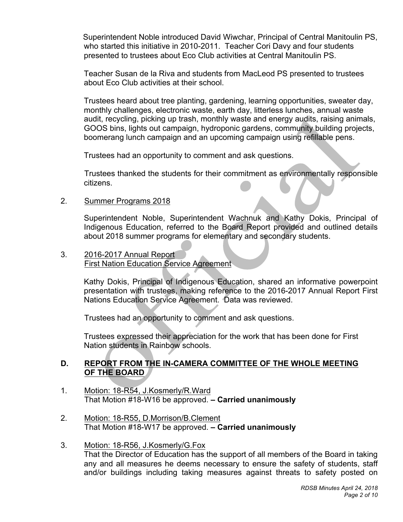who started this initiative in 2010-2011. Teacher Cori Davy and four students presented to trustees about Eco Club activities at Central Manitoulin PS. Superintendent Noble introduced David Wiwchar, Principal of Central Manitoulin PS,

 Teacher Susan de la Riva and students from MacLeod PS presented to trustees about Eco Club activities at their school.

 Trustees heard about tree planting, gardening, learning opportunities, sweater day, monthly challenges, electronic waste, earth day, litterless lunches, annual waste audit, recycling, picking up trash, monthly waste and energy audits, raising animals, GOOS bins, lights out campaign, hydroponic gardens, community building projects, boomerang lunch campaign and an upcoming campaign using refillable pens.

Trustees had an opportunity to comment and ask questions.

Trustees thanked the students for their commitment as environmentally responsible citizens.

# 2. Summer Programs 2018

 Indigenous Education, referred to the Board Report provided and outlined details about 2018 summer programs for elementary and secondary students. Superintendent Noble, Superintendent Wachnuk and Kathy Dokis, Principal of

#### $3<sub>1</sub>$ 2016-2017 Annual Report First Nation Education Service Agreement

 Kathy Dokis, Principal of Indigenous Education, shared an informative powerpoint presentation with trustees, making reference to the 2016-2017 Annual Report First Nations Education Service Agreement. Data was reviewed.

Trustees had an opportunity to comment and ask questions.

 Trustees expressed their appreciation for the work that has been done for First Nation students in Rainbow schools.

# **D. REPORT FROM THE IN-CAMERA COMMITTEE OF THE WHOLE MEETING OF THE BOARD**

- That Motion #18-W16 be approved.  **Carried unanimously**  1. Motion: 18-R54, J.Kosmerly/R.Ward
- That Motion #18-W17 be approved.  **Carried unanimously**  2. Motion: 18-R55, D.Morrison/B.Clement
- any and all measures he deems necessary to ensure the safety of students, staff and/or buildings including taking measures against threats to safety posted on 3. Motion: 18-R56, J.Kosmerly/G.Fox That the Director of Education has the support of all members of the Board in taking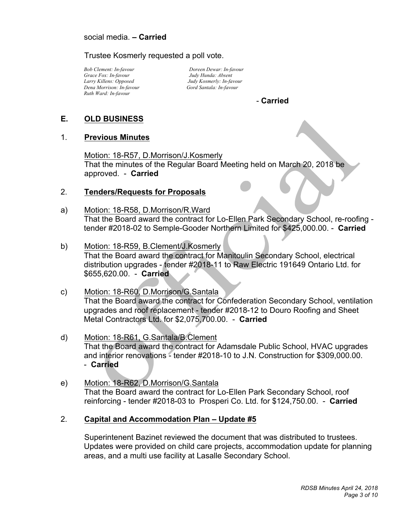Trustee Kosmerly requested a poll vote.

 *Bob Clement: In-favour Grace Fox: In-favour Larry Killens: Opposed Dena Morrison: In-favour Ruth Ward: In-favour* 

*Doreen Dewar: In-favour Judy Hunda: Absent Judy Kosmerly: In-favour Gord Santala: In-favour* 

# - **Carried**

ľ

#### **E. OLD BUSINESS**

## 1. **Previous Minutes**

 - **Carried**  Motion: 18-R57, D.Morrison/J.Kosmerly That the minutes of the Regular Board Meeting held on March 20, 2018 be

# approved. - **Carried**<br>2. <u>Tenders/Requests for Proposals</u>

- Motion: 18-R58, D.Morrison/R.Ward tender #2018-02 to Semple-Gooder Northern Limited for \$425,000.00. - **Carried**  That the Board award the contract for Lo-Ellen Park Secondary School, re-roofing a)
- Motion: 18-R59, B.Clement/J.Kosmerly distribution upgrades - tender #2018-11 to Raw Electric 191649 Ontario Ltd. for \$655,620.00. - **Carried**  That the Board award the contract for Manitoulin Secondary School, electrical b)
- Motion: 18-R60, D.Morrison/G.Santala upgrades and roof replacement - tender #2018-12 to Douro Roofing and Sheet Metal Contractors Ltd. for \$2,075,700.00. - **Carried**  That the Board award the contract for Confederation Secondary School, ventilation c)
- Motion: 18-R61, G.Santala/B.Clement and interior renovations - tender #2018-10 to J.N. Construction for \$309,000.00. **Carried**  - That the Board award the contract for Adamsdale Public School, HVAC upgrades d)
- Motion: 18-R62, D.Morrison/G.Santala That the Board award the contract for Lo-Ellen Park Secondary School, roof reinforcing - tender #2018-03 to Prosperi Co. Ltd. for \$124,750.00. - **Carried**  e)
- 2. **Capital and Accommodation Plan Update #5**

 Superintenent Bazinet reviewed the document that was distributed to trustees. Updates were provided on child care projects, accommodation update for planning areas, and a multi use facility at Lasalle Secondary School.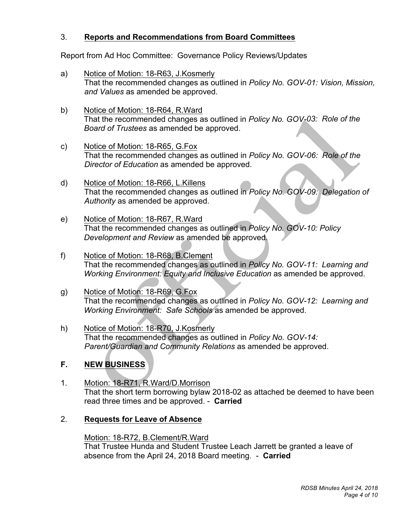# 3. **Reports and Recommendations from Board Committees**

Report from Ad Hoc Committee: Governance Policy Reviews/Updates

- a) That the recommended changes as outlined in *Policy No. GOV-01: Vision, Mission, and Values* as amended be approved. Notice of Motion: 18-R63, J.Kosmerly
- b)  That the recommended changes as outlined in *Policy No. GOV-03: Role of the Board of Trustees* as amended be approved. Notice of Motion: 18-R64, R.Ward
- C) That the recommended changes as outlined in *Policy No. GOV-06: Role of the Director of Education* as amended be approved. Notice of Motion: 18-R65, G.Fox
- $\mathsf{d}$  That the recommended changes as outlined in *Policy No. GOV-09: Delegation of Authority* as amended be approved. Notice of Motion: 18-R66, L.Killens
- e) That the recommended changes as outlined in *Policy No. GOV-10: Policy Development and Review* as amended be approved. Notice of Motion: 18-R67, R.Ward
- f) That the recommended changes as outlined in *Policy No. GOV-11: Learning and*  Working Environment: Equity and Inclusive Education as amended be approved. Notice of Motion: 18-R68, B.Clement
- g) That the recommended changes as outlined in *Policy No. GOV-12: Learning and Working Environment: Safe Schools* as amended be approved. Notice of Motion: 18-R69, G.Fox
- h) That the recommended changes as outlined in *Policy No. GOV-14: Parent/Guardian and Community Relations* as amended be approved. Notice of Motion: 18-R70, J.Kosmerly

#### $F_{\rm{a}}$ **NEW BUSINESS**

- That the short term borrowing bylaw 2018-02 as attached be deemed to have been read three times and be approved. - **Carried**  1. Motion: 18-R71, R.Ward/D.Morrison
- 2. **Requests for Leave of Absence**

# Motion: 18-R72, B.Clement/R.Ward

 That Trustee Hunda and Student Trustee Leach Jarrett be granted a leave of absence from the April 24, 2018 Board meeting. - **Carried**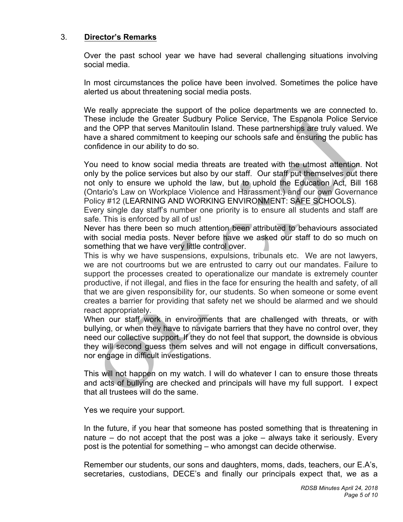# 3. **Director's Remarks**

 Over the past school year we have had several challenging situations involving social media.

 In most circumstances the police have been involved. Sometimes the police have alerted us about threatening social media posts.

 We really appreciate the support of the police departments we are connected to. These include the Greater Sudbury Police Service, The Espanola Police Service and the OPP that serves Manitoulin Island. These partnerships are truly valued. We have a shared commitment to keeping our schools safe and ensuring the public has confidence in our ability to do so.

 You need to know social media threats are treated with the utmost attention. Not only by the police services but also by our staff. Our staff put themselves out there not only to ensure we uphold the law, but to uphold the Education Act, Bill 168 (Ontario's Law on Workplace Violence and Harassment.) and our own Governance Policy #12 (LEARNING AND WORKING ENVIRONMENT: SAFE SCHOOLS).

 Every single day staff's number one priority is to ensure all students and staff are safe. This is enforced by all of us!

 Never has there been so much attention been attributed to behaviours associated with social media posts. Never before have we asked our staff to do so much on something that we have very little control over.

 This is why we have suspensions, expulsions, tribunals etc. We are not lawyers, we are not courtrooms but we are entrusted to carry out our mandates. Failure to support the processes created to operationalize our mandate is extremely counter productive, if not illegal, and flies in the face for ensuring the health and safety, of all that we are given responsibility for, our students. So when someone or some event creates a barrier for providing that safety net we should be alarmed and we should react appropriately.

 When our staff work in environments that are challenged with threats, or with bullying, or when they have to navigate barriers that they have no control over, they need our collective support. If they do not feel that support, the downside is obvious they will second guess them selves and will not engage in difficult conversations, nor engage in difficult investigations.

 This will not happen on my watch. I will do whatever I can to ensure those threats and acts of bullying are checked and principals will have my full support. I expect that all trustees will do the same.

Yes we require your support.

 In the future, if you hear that someone has posted something that is threatening in nature – do not accept that the post was a joke – always take it seriously. Every post is the potential for something – who amongst can decide otherwise.

 Remember our students, our sons and daughters, moms, dads, teachers, our E.A's, secretaries, custodians, DECE's and finally our principals expect that, we as a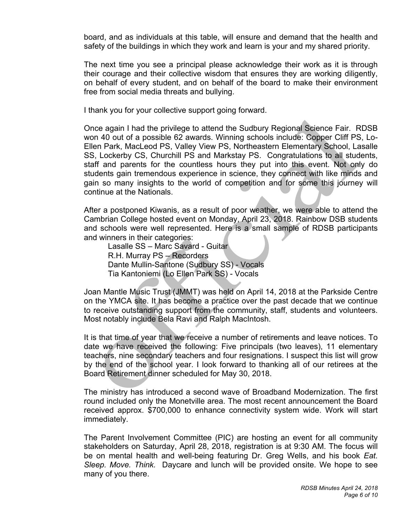board, and as individuals at this table, will ensure and demand that the health and safety of the buildings in which they work and learn is your and my shared priority.

 The next time you see a principal please acknowledge their work as it is through their courage and their collective wisdom that ensures they are working diligently, on behalf of every student, and on behalf of the board to make their environment free from social media threats and bullying.

I thank you for your collective support going forward.

 Once again I had the privilege to attend the Sudbury Regional Science Fair. RDSB won 40 out of a possible 62 awards. Winning schools include: Copper Cliff PS, Lo- Ellen Park, MacLeod PS, Valley View PS, Northeastern Elementary School, Lasalle SS, Lockerby CS, Churchill PS and Markstay PS. Congratulations to all students, staff and parents for the countless hours they put into this event. Not only do students gain tremendous experience in science, they connect with like minds and gain so many insights to the world of competition and for some this journey will continue at the Nationals.

 After a postponed Kiwanis, as a result of poor weather, we were able to attend the Cambrian College hosted event on Monday, April 23, 2018. Rainbow DSB students and schools were well represented. Here is a small sample of RDSB participants and winners in their categories:

Lasalle SS – Marc Savard - Guitar R.H. Murray PS – Recorders Dante Mullin-Santone (Sudbury SS) - Vocals Tia Kantoniemi (Lo Ellen Park SS) - Vocals

 Joan Mantle Music Trust (JMMT) was held on April 14, 2018 at the Parkside Centre on the YMCA site. It has become a practice over the past decade that we continue to receive outstanding support from the community, staff, students and volunteers. Most notably include Bela Ravi and Ralph MacIntosh.

 It is that time of year that we receive a number of retirements and leave notices. To date we have received the following: Five principals (two leaves), 11 elementary teachers, nine secondary teachers and four resignations. I suspect this list will grow by the end of the school year. I look forward to thanking all of our retirees at the Board Retirement dinner scheduled for May 30, 2018.

 The ministry has introduced a second wave of Broadband Modernization. The first round included only the Monetville area. The most recent announcement the Board received approx. \$700,000 to enhance connectivity system wide. Work will start immediately.

 The Parent Involvement Committee (PIC) are hosting an event for all community stakeholders on Saturday, April 28, 2018, registration is at 9:30 AM. The focus will be on mental health and well-being featuring Dr. Greg Wells, and his book *Eat. Sleep. Move. Think.* Daycare and lunch will be provided onsite. We hope to see many of you there.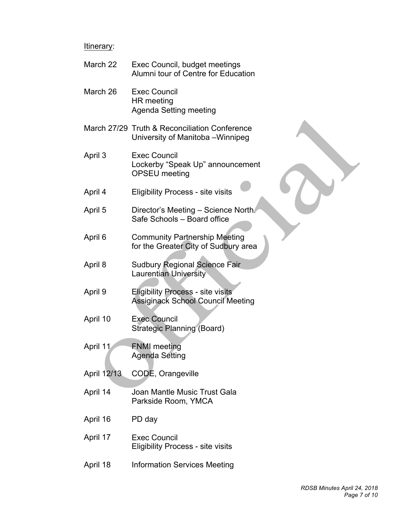#### Itinerary:

- March 22 Exec Council, budget meetings Alumni tour of Centre for Education
- March 26 Exec Council HR meeting Agenda Setting meeting
- March 27/29 Truth & Reconciliation Conference University of Manitoba –Winnipeg
- April 3 **Exec Council** Lockerby "Speak Up" announcement OPSEU meeting
- April 4 **Eligibility Process - site visits**
- April 5 Director's Meeting – Science North Safe Schools – Board office
- April 6 **Community Partnership Meeting** for the Greater City of Sudbury area
- April 8 **Sudbury Regional Science Fair** Laurentian University
- April 9 **Eligibility Process - site visits** Assiginack School Council Meeting
- April 10 **Exec Council** Strategic Planning (Board)
- April 11 **FNMI meeting** Agenda Setting
- April 12/13 CODE, Orangeville
- April 14 Joan Mantle Music Trust Gala Parkside Room, YMCA
- April 16 PD day
- April 17 **Exec Council** Eligibility Process - site visits
- April 18 **Information Services Meeting**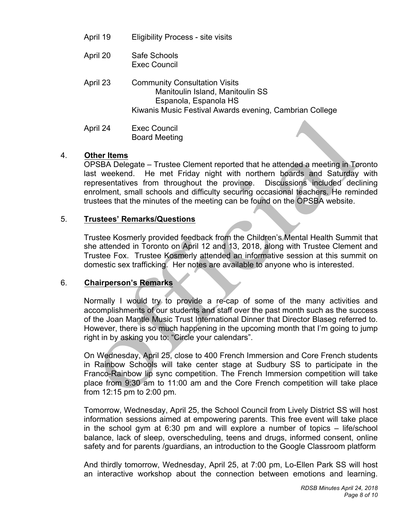- April 19 **Eligibility Process - site visits**
- April 20 Safe Schools Exec Council
- April 23 **Community Consultation Visits** Manitoulin Island, Manitoulin SS Espanola, Espanola HS Kiwanis Music Festival Awards evening, Cambrian College
- April 24 April 24 Exec Council Board Meeting

# 4. **Other Items**

 OPSBA Delegate – Trustee Clement reported that he attended a meeting in Toronto last weekend. representatives from throughout the province. Discussions included declining enrolment, small schools and difficulty securing occasional teachers. He reminded trustees that the minutes of the meeting can be found on the OPSBA website. He met Friday night with northern boards and Saturday with

#### $5.$ 5. **Trustees' Remarks/Questions**

 Trustee Kosmerly provided feedback from the Children's Mental Health Summit that she attended in Toronto on April 12 and 13, 2018, along with Trustee Clement and Trustee Fox. Trustee Kosmerly attended an informative session at this summit on domestic sex trafficking. Her notes are available to anyone who is interested.

## 6. **Chairperson's Remarks**

 Normally I would try to provide a re-cap of some of the many activities and accomplishments of our students and staff over the past month such as the success of the Joan Mantle Music Trust International Dinner that Director Blaseg referred to. However, there is so much happening in the upcoming month that I'm going to jump right in by asking you to: "Circle your calendars".

 On Wednesday, April 25, close to 400 French Immersion and Core French students in Rainbow Schools will take center stage at Sudbury SS to participate in the Franco-Rainbow lip sync competition. The French Immersion competition will take place from 9:30 am to 11:00 am and the Core French competition will take place from 12:15 pm to 2:00 pm.

 Tomorrow, Wednesday, April 25, the School Council from Lively District SS will host information sessions aimed at empowering parents. This free event will take place in the school gym at 6:30 pm and will explore a number of topics – life/school balance, lack of sleep, overscheduling, teens and drugs, informed consent, online safety and for parents /guardians, an introduction to the Google Classroom platform

 And thirdly tomorrow, Wednesday, April 25, at 7:00 pm, Lo-Ellen Park SS will host an interactive workshop about the connection between emotions and learning.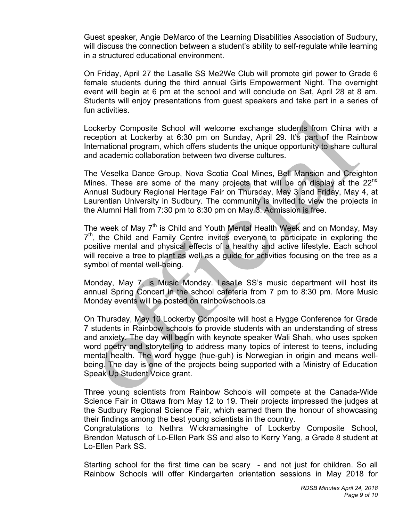Guest speaker, Angie DeMarco of the Learning Disabilities Association of Sudbury, will discuss the connection between a student's ability to self-regulate while learning in a structured educational environment.

 On Friday, April 27 the Lasalle SS Me2We Club will promote girl power to Grade 6 female students during the third annual Girls Empowerment Night. The overnight event will begin at 6 pm at the school and will conclude on Sat, April 28 at 8 am. Students will enjoy presentations from guest speakers and take part in a series of fun activities.

 Lockerby Composite School will welcome exchange students from China with a reception at Lockerby at 6:30 pm on Sunday, April 29. It's part of the Rainbow International program, which offers students the unique opportunity to share cultural and academic collaboration between two diverse cultures.

 The Veselka Dance Group, Nova Scotia Coal Mines, Bell Mansion and Creighton Mines. These are some of the many projects that will be on display at the  $22^{nd}$  Annual Sudbury Regional Heritage Fair on Thursday, May 3 and Friday, May 4, at Laurentian University in Sudbury. The community is invited to view the projects in the Alumni Hall from 7:30 pm to 8:30 pm on May 3. Admission is free.

The week of May 7<sup>th</sup> is Child and Youth Mental Health Week and on Monday, May  $7<sup>th</sup>$ , the Child and Family Centre invites everyone to participate in exploring the positive mental and physical effects of a healthy and active lifestyle. Each school will receive a tree to plant as well as a guide for activities focusing on the tree as a symbol of mental well-being.

 Monday, May 7, is Music Monday. Lasalle SS's music department will host its annual Spring Concert in the school cafeteria from 7 pm to 8:30 pm. More Music Monday events will be posted on rainbowschools.ca

 On Thursday, May 10 Lockerby Composite will host a Hygge Conference for Grade 7 students in Rainbow schools to provide students with an understanding of stress and anxiety. The day will begin with keynote speaker Wali Shah, who uses spoken word poetry and storytelling to address many topics of interest to teens, including mental health. The word hygge (hue-guh) is Norwegian in origin and means well- being. The day is one of the projects being supported with a Ministry of Education Speak Up Student Voice grant.

 Three young scientists from Rainbow Schools will compete at the Canada-Wide Science Fair in Ottawa from May 12 to 19. Their projects impressed the judges at the Sudbury Regional Science Fair, which earned them the honour of showcasing their findings among the best young scientists in the country.

 Congratulations to Nethra Wickramasinghe of Lockerby Composite School, Brendon Matusch of Lo-Ellen Park SS and also to Kerry Yang, a Grade 8 student at Lo-Ellen Park SS.

 Starting school for the first time can be scary - and not just for children. So all Rainbow Schools will offer Kindergarten orientation sessions in May 2018 for